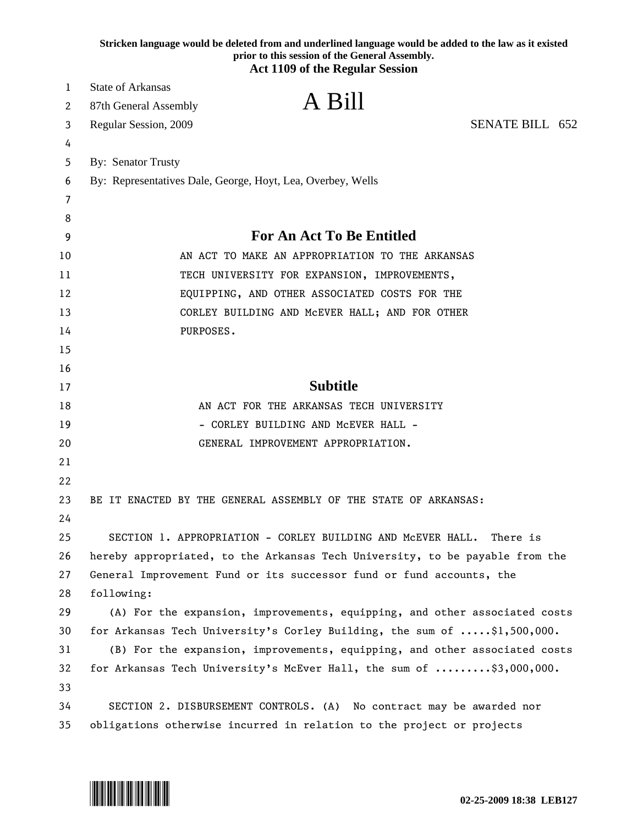|    | Stricken language would be deleted from and underlined language would be added to the law as it existed<br>prior to this session of the General Assembly.<br><b>Act 1109 of the Regular Session</b> |
|----|-----------------------------------------------------------------------------------------------------------------------------------------------------------------------------------------------------|
|    |                                                                                                                                                                                                     |
| 1  | <b>State of Arkansas</b><br>A Bill                                                                                                                                                                  |
| 2  | 87th General Assembly                                                                                                                                                                               |
| 3  | SENATE BILL 652<br>Regular Session, 2009                                                                                                                                                            |
| 4  |                                                                                                                                                                                                     |
| 5  | By: Senator Trusty                                                                                                                                                                                  |
| 6  | By: Representatives Dale, George, Hoyt, Lea, Overbey, Wells                                                                                                                                         |
| 7  |                                                                                                                                                                                                     |
| 8  |                                                                                                                                                                                                     |
| 9  | For An Act To Be Entitled                                                                                                                                                                           |
| 10 | AN ACT TO MAKE AN APPROPRIATION TO THE ARKANSAS                                                                                                                                                     |
| 11 | TECH UNIVERSITY FOR EXPANSION, IMPROVEMENTS,                                                                                                                                                        |
| 12 | EQUIPPING, AND OTHER ASSOCIATED COSTS FOR THE                                                                                                                                                       |
| 13 | CORLEY BUILDING AND MCEVER HALL; AND FOR OTHER                                                                                                                                                      |
| 14 | PURPOSES.                                                                                                                                                                                           |
| 15 |                                                                                                                                                                                                     |
| 16 |                                                                                                                                                                                                     |
| 17 | <b>Subtitle</b>                                                                                                                                                                                     |
| 18 | AN ACT FOR THE ARKANSAS TECH UNIVERSITY                                                                                                                                                             |
| 19 | - CORLEY BUILDING AND McEVER HALL -                                                                                                                                                                 |
| 20 | GENERAL IMPROVEMENT APPROPRIATION.                                                                                                                                                                  |
| 21 |                                                                                                                                                                                                     |
| 22 |                                                                                                                                                                                                     |
| 23 | BE IT ENACTED BY THE GENERAL ASSEMBLY OF THE STATE OF ARKANSAS:                                                                                                                                     |
| 24 |                                                                                                                                                                                                     |
| 25 | SECTION 1. APPROPRIATION - CORLEY BUILDING AND MCEVER HALL.<br>There is                                                                                                                             |
| 26 | hereby appropriated, to the Arkansas Tech University, to be payable from the                                                                                                                        |
| 27 | General Improvement Fund or its successor fund or fund accounts, the                                                                                                                                |
| 28 | following:                                                                                                                                                                                          |
| 29 | (A) For the expansion, improvements, equipping, and other associated costs                                                                                                                          |
| 30 | for Arkansas Tech University's Corley Building, the sum of \$1,500,000.                                                                                                                             |
| 31 | (B) For the expansion, improvements, equipping, and other associated costs                                                                                                                          |
| 32 | for Arkansas Tech University's McEver Hall, the sum of \$3,000,000.                                                                                                                                 |
| 33 |                                                                                                                                                                                                     |
| 34 | SECTION 2. DISBURSEMENT CONTROLS. (A) No contract may be awarded nor                                                                                                                                |
| 35 | obligations otherwise incurred in relation to the project or projects                                                                                                                               |

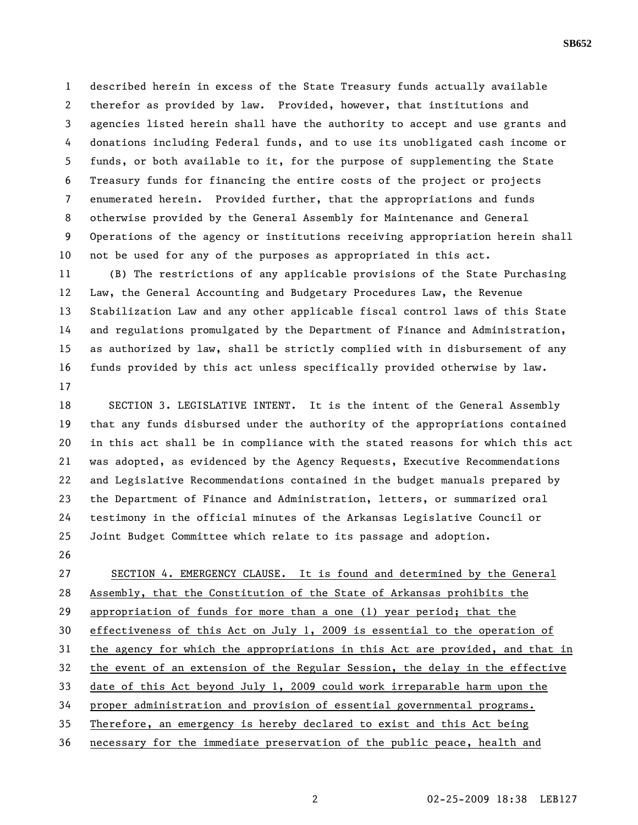1 described herein in excess of the State Treasury funds actually available 2 therefor as provided by law. Provided, however, that institutions and 3 agencies listed herein shall have the authority to accept and use grants and 4 donations including Federal funds, and to use its unobligated cash income or 5 funds, or both available to it, for the purpose of supplementing the State 6 Treasury funds for financing the entire costs of the project or projects 7 enumerated herein. Provided further, that the appropriations and funds 8 otherwise provided by the General Assembly for Maintenance and General 9 Operations of the agency or institutions receiving appropriation herein shall 10 not be used for any of the purposes as appropriated in this act.

11 (B) The restrictions of any applicable provisions of the State Purchasing 12 Law, the General Accounting and Budgetary Procedures Law, the Revenue 13 Stabilization Law and any other applicable fiscal control laws of this State 14 and regulations promulgated by the Department of Finance and Administration, 15 as authorized by law, shall be strictly complied with in disbursement of any 16 funds provided by this act unless specifically provided otherwise by law. 17

18 SECTION 3. LEGISLATIVE INTENT. It is the intent of the General Assembly 19 that any funds disbursed under the authority of the appropriations contained 20 in this act shall be in compliance with the stated reasons for which this act 21 was adopted, as evidenced by the Agency Requests, Executive Recommendations 22 and Legislative Recommendations contained in the budget manuals prepared by 23 the Department of Finance and Administration, letters, or summarized oral 24 testimony in the official minutes of the Arkansas Legislative Council or 25 Joint Budget Committee which relate to its passage and adoption.

26

27 SECTION 4. EMERGENCY CLAUSE. It is found and determined by the General 28 Assembly, that the Constitution of the State of Arkansas prohibits the 29 appropriation of funds for more than a one (1) year period; that the 30 effectiveness of this Act on July 1, 2009 is essential to the operation of 31 the agency for which the appropriations in this Act are provided, and that in 32 the event of an extension of the Regular Session, the delay in the effective 33 date of this Act beyond July 1, 2009 could work irreparable harm upon the 34 proper administration and provision of essential governmental programs. 35 Therefore, an emergency is hereby declared to exist and this Act being 36 necessary for the immediate preservation of the public peace, health and